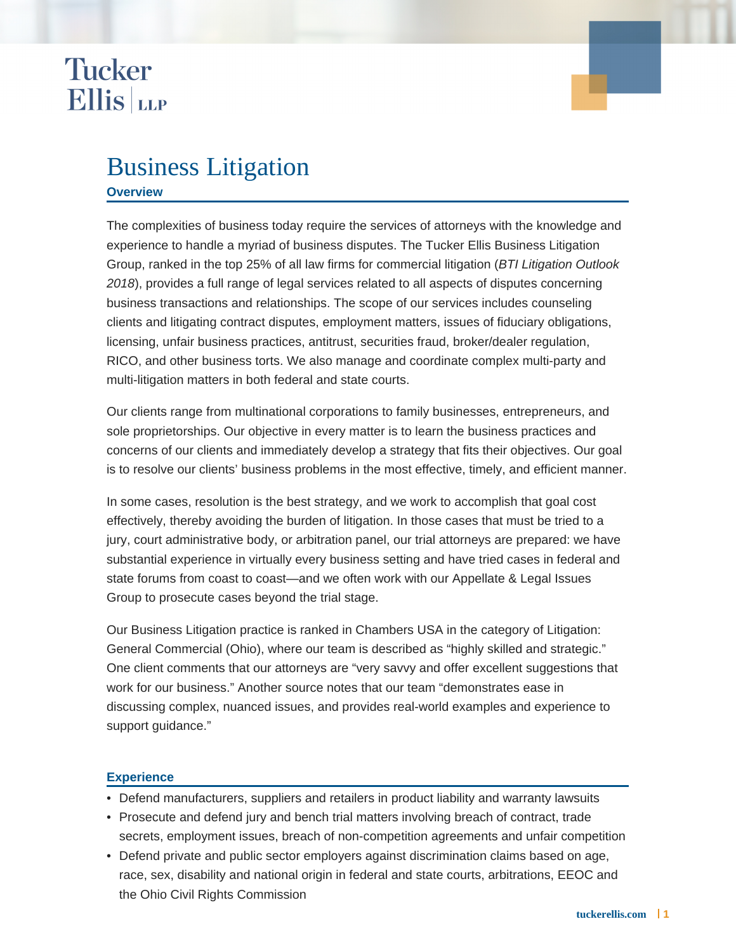## **Tucker Ellis** LLP

### Business Litigation

#### **Overview**

The complexities of business today require the services of attorneys with the knowledge and experience to handle a myriad of business disputes. The Tucker Ellis Business Litigation Group, ranked in the top 25% of all law firms for commercial litigation (BTI Litigation Outlook 2018), provides a full range of legal services related to all aspects of disputes concerning business transactions and relationships. The scope of our services includes counseling clients and litigating contract disputes, employment matters, issues of fiduciary obligations, licensing, unfair business practices, antitrust, securities fraud, broker/dealer regulation, RICO, and other business torts. We also manage and coordinate complex multi-party and multi-litigation matters in both federal and state courts.

Our clients range from multinational corporations to family businesses, entrepreneurs, and sole proprietorships. Our objective in every matter is to learn the business practices and concerns of our clients and immediately develop a strategy that fits their objectives. Our goal is to resolve our clients' business problems in the most effective, timely, and efficient manner.

In some cases, resolution is the best strategy, and we work to accomplish that goal cost effectively, thereby avoiding the burden of litigation. In those cases that must be tried to a jury, court administrative body, or arbitration panel, our trial attorneys are prepared: we have substantial experience in virtually every business setting and have tried cases in federal and state forums from coast to coast—and we often work with our Appellate & Legal Issues Group to prosecute cases beyond the trial stage.

Our Business Litigation practice is ranked in Chambers USA in the category of Litigation: General Commercial (Ohio), where our team is described as "highly skilled and strategic." One client comments that our attorneys are "very savvy and offer excellent suggestions that work for our business." Another source notes that our team "demonstrates ease in discussing complex, nuanced issues, and provides real-world examples and experience to support guidance."

#### **Experience**

- Defend manufacturers, suppliers and retailers in product liability and warranty lawsuits
- Prosecute and defend jury and bench trial matters involving breach of contract, trade secrets, employment issues, breach of non-competition agreements and unfair competition
- Defend private and public sector employers against discrimination claims based on age, race, sex, disability and national origin in federal and state courts, arbitrations, EEOC and the Ohio Civil Rights Commission